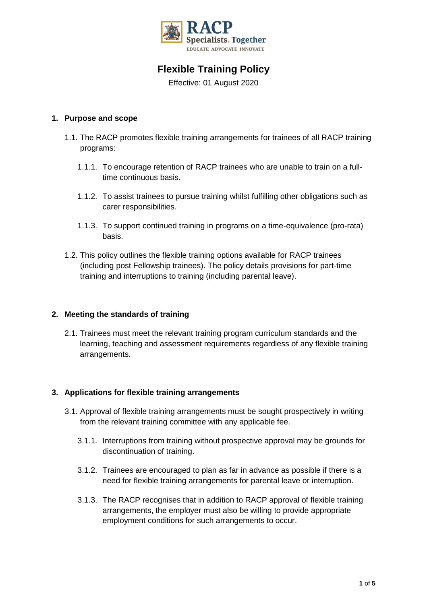

# **Flexible Training Policy**

Effective: 01 August 2020

## **1. Purpose and scope**

- 1.1. The RACP promotes flexible training arrangements for trainees of all RACP training programs:
	- 1.1.1. To encourage retention of RACP trainees who are unable to train on a fulltime continuous basis.
	- 1.1.2. To assist trainees to pursue training whilst fulfilling other obligations such as carer responsibilities.
	- 1.1.3. To support continued training in programs on a time-equivalence (pro-rata) basis.
- 1.2. This policy outlines the flexible training options available for RACP trainees (including post Fellowship trainees). The policy details provisions for part-time training and interruptions to training (including parental leave).

## **2. Meeting the standards of training**

2.1. Trainees must meet the relevant training program curriculum standards and the learning, teaching and assessment requirements regardless of any flexible training arrangements.

## **3. Applications for flexible training arrangements**

- 3.1. Approval of flexible training arrangements must be sought prospectively in writing from the relevant training committee with any applicable fee.
	- 3.1.1. Interruptions from training without prospective approval may be grounds for discontinuation of training.
	- 3.1.2. Trainees are encouraged to plan as far in advance as possible if there is a need for flexible training arrangements for parental leave or interruption.
	- 3.1.3. The RACP recognises that in addition to RACP approval of flexible training arrangements, the employer must also be willing to provide appropriate employment conditions for such arrangements to occur.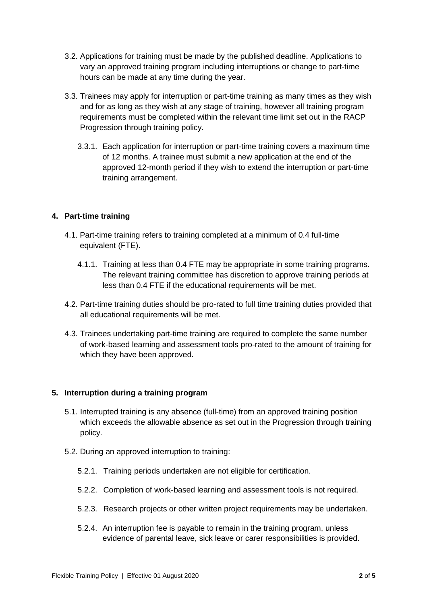- 3.2. Applications for training must be made by the published deadline. Applications to vary an approved training program including interruptions or change to part-time hours can be made at any time during the year.
- 3.3. Trainees may apply for interruption or part-time training as many times as they wish and for as long as they wish at any stage of training, however all training program requirements must be completed within the relevant time limit set out in the RACP Progression through training policy.
	- 3.3.1. Each application for interruption or part-time training covers a maximum time of 12 months. A trainee must submit a new application at the end of the approved 12-month period if they wish to extend the interruption or part-time training arrangement.

## **4. Part-time training**

- 4.1. Part-time training refers to training completed at a minimum of 0.4 full-time equivalent (FTE).
	- 4.1.1. Training at less than 0.4 FTE may be appropriate in some training programs. The relevant training committee has discretion to approve training periods at less than 0.4 FTE if the educational requirements will be met.
- 4.2. Part-time training duties should be pro-rated to full time training duties provided that all educational requirements will be met.
- 4.3. Trainees undertaking part-time training are required to complete the same number of work-based learning and assessment tools pro-rated to the amount of training for which they have been approved.

## **5. Interruption during a training program**

- 5.1. Interrupted training is any absence (full-time) from an approved training position which exceeds the allowable absence as set out in the Progression through training policy.
- 5.2. During an approved interruption to training:
	- 5.2.1. Training periods undertaken are not eligible for certification.
	- 5.2.2. Completion of work-based learning and assessment tools is not required.
	- 5.2.3. Research projects or other written project requirements may be undertaken.
	- 5.2.4. An interruption fee is payable to remain in the training program, unless evidence of parental leave, sick leave or carer responsibilities is provided.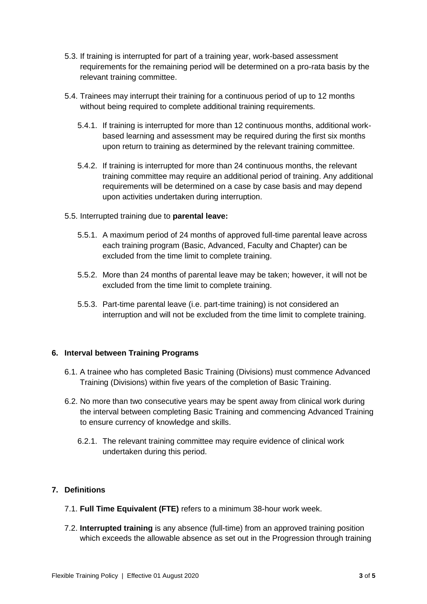- 5.3. If training is interrupted for part of a training year, work-based assessment requirements for the remaining period will be determined on a pro-rata basis by the relevant training committee.
- 5.4. Trainees may interrupt their training for a continuous period of up to 12 months without being required to complete additional training requirements.
	- 5.4.1. If training is interrupted for more than 12 continuous months, additional workbased learning and assessment may be required during the first six months upon return to training as determined by the relevant training committee.
	- 5.4.2. If training is interrupted for more than 24 continuous months, the relevant training committee may require an additional period of training. Any additional requirements will be determined on a case by case basis and may depend upon activities undertaken during interruption.
- 5.5. Interrupted training due to **parental leave:**
	- 5.5.1. A maximum period of 24 months of approved full-time parental leave across each training program (Basic, Advanced, Faculty and Chapter) can be excluded from the time limit to complete training.
	- 5.5.2. More than 24 months of parental leave may be taken; however, it will not be excluded from the time limit to complete training.
	- 5.5.3. Part-time parental leave (i.e. part-time training) is not considered an interruption and will not be excluded from the time limit to complete training.

#### **6. Interval between Training Programs**

- 6.1. A trainee who has completed Basic Training (Divisions) must commence Advanced Training (Divisions) within five years of the completion of Basic Training.
- 6.2. No more than two consecutive years may be spent away from clinical work during the interval between completing Basic Training and commencing Advanced Training to ensure currency of knowledge and skills.
	- 6.2.1. The relevant training committee may require evidence of clinical work undertaken during this period.

## **7. Definitions**

- 7.1. **Full Time Equivalent (FTE)** refers to a minimum 38-hour work week.
- 7.2. **Interrupted training** is any absence (full-time) from an approved training position which exceeds the allowable absence as set out in the Progression through training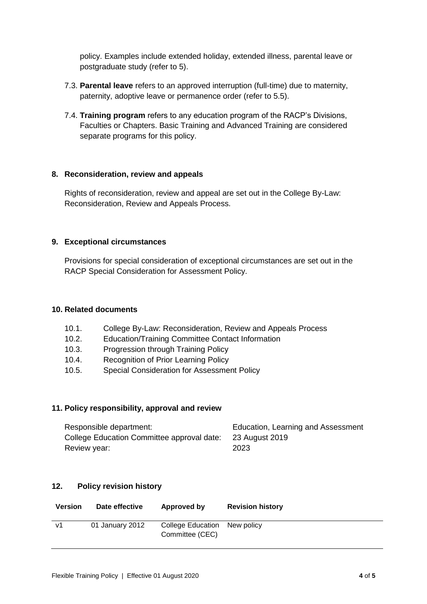policy. Examples include extended holiday, extended illness, parental leave or postgraduate study (refer to 5).

- 7.3. **Parental leave** refers to an approved interruption (full-time) due to maternity, paternity, adoptive leave or permanence order (refer to 5.5).
- 7.4. **Training program** refers to any education program of the RACP's Divisions, Faculties or Chapters. Basic Training and Advanced Training are considered separate programs for this policy.

## **8. Reconsideration, review and appeals**

Rights of reconsideration, review and appeal are set out in the College By-Law: Reconsideration, Review and Appeals Process.

#### **9. Exceptional circumstances**

Provisions for special consideration of exceptional circumstances are set out in the RACP Special Consideration for Assessment Policy.

## **10. Related documents**

- 10.1. College By-Law: Reconsideration, Review and Appeals Process
- 10.2. Education/Training Committee Contact Information
- 10.3. Progression through Training Policy
- 10.4. Recognition of Prior Learning Policy
- 10.5. Special Consideration for Assessment Policy

#### **11. Policy responsibility, approval and review**

| Responsible department:                    | Education, Learning and Assessment |
|--------------------------------------------|------------------------------------|
| College Education Committee approval date: | 23 August 2019                     |
| Review year:                               | 2023                               |

## **12. Policy revision history**

| <b>Version</b> | Date effective  | Approved by                                     | <b>Revision history</b> |
|----------------|-----------------|-------------------------------------------------|-------------------------|
| V <sub>1</sub> | 01 January 2012 | College Education New policy<br>Committee (CEC) |                         |